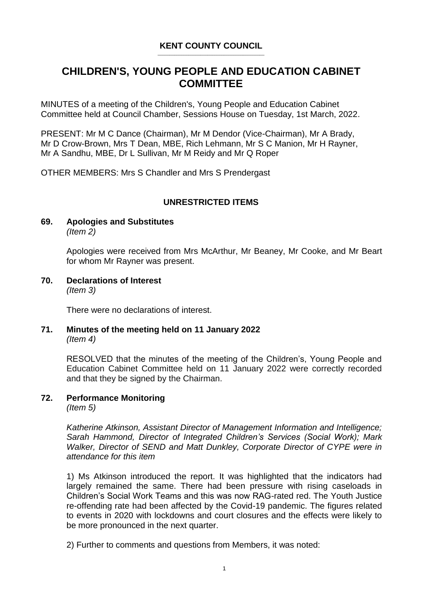#### **KENT COUNTY COUNCIL** \_\_\_\_\_\_\_\_\_\_\_\_\_\_\_\_\_\_\_\_\_\_\_\_\_\_\_\_\_\_\_\_\_\_\_\_\_\_\_\_\_\_\_\_\_

# **CHILDREN'S, YOUNG PEOPLE AND EDUCATION CABINET COMMITTEE**

MINUTES of a meeting of the Children's, Young People and Education Cabinet Committee held at Council Chamber, Sessions House on Tuesday, 1st March, 2022.

PRESENT: Mr M C Dance (Chairman), Mr M Dendor (Vice-Chairman), Mr A Brady, Mr D Crow-Brown, Mrs T Dean, MBE, Rich Lehmann, Mr S C Manion, Mr H Rayner, Mr A Sandhu, MBE, Dr L Sullivan, Mr M Reidy and Mr Q Roper

OTHER MEMBERS: Mrs S Chandler and Mrs S Prendergast

### **UNRESTRICTED ITEMS**

#### **69. Apologies and Substitutes** *(Item 2)*

Apologies were received from Mrs McArthur, Mr Beaney, Mr Cooke, and Mr Beart for whom Mr Rayner was present.

**70. Declarations of Interest** *(Item 3)*

There were no declarations of interest.

### **71. Minutes of the meeting held on 11 January 2022** *(Item 4)*

RESOLVED that the minutes of the meeting of the Children's, Young People and Education Cabinet Committee held on 11 January 2022 were correctly recorded and that they be signed by the Chairman.

### **72. Performance Monitoring**

*(Item 5)*

*Katherine Atkinson, Assistant Director of Management Information and Intelligence; Sarah Hammond, Director of Integrated Children's Services (Social Work); Mark Walker, Director of SEND and Matt Dunkley, Corporate Director of CYPE were in attendance for this item*

1) Ms Atkinson introduced the report. It was highlighted that the indicators had largely remained the same. There had been pressure with rising caseloads in Children's Social Work Teams and this was now RAG-rated red. The Youth Justice re-offending rate had been affected by the Covid-19 pandemic. The figures related to events in 2020 with lockdowns and court closures and the effects were likely to be more pronounced in the next quarter.

2) Further to comments and questions from Members, it was noted: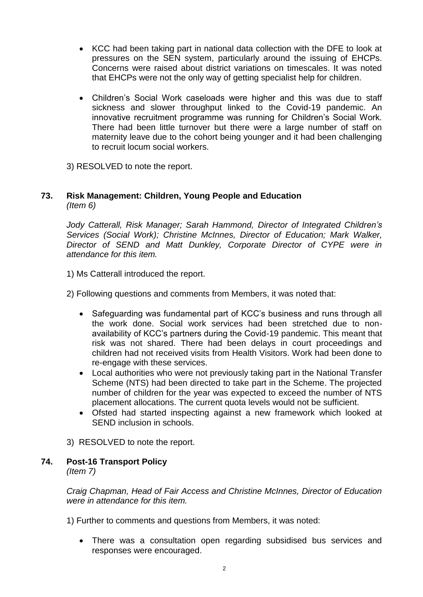- KCC had been taking part in national data collection with the DFE to look at pressures on the SEN system, particularly around the issuing of EHCPs. Concerns were raised about district variations on timescales. It was noted that EHCPs were not the only way of getting specialist help for children.
- Children's Social Work caseloads were higher and this was due to staff sickness and slower throughput linked to the Covid-19 pandemic. An innovative recruitment programme was running for Children's Social Work. There had been little turnover but there were a large number of staff on maternity leave due to the cohort being younger and it had been challenging to recruit locum social workers.

3) RESOLVED to note the report.

### **73. Risk Management: Children, Young People and Education** *(Item 6)*

*Jody Catterall, Risk Manager; Sarah Hammond, Director of Integrated Children's Services (Social Work); Christine McInnes, Director of Education; Mark Walker, Director of SEND and Matt Dunkley, Corporate Director of CYPE were in attendance for this item.*

1) Ms Catterall introduced the report.

- 2) Following questions and comments from Members, it was noted that:
	- Safeguarding was fundamental part of KCC's business and runs through all the work done. Social work services had been stretched due to nonavailability of KCC's partners during the Covid-19 pandemic. This meant that risk was not shared. There had been delays in court proceedings and children had not received visits from Health Visitors. Work had been done to re-engage with these services.
	- Local authorities who were not previously taking part in the National Transfer Scheme (NTS) had been directed to take part in the Scheme. The projected number of children for the year was expected to exceed the number of NTS placement allocations. The current quota levels would not be sufficient.
	- Ofsted had started inspecting against a new framework which looked at SEND inclusion in schools.
- 3) RESOLVED to note the report.

## **74. Post-16 Transport Policy**

*(Item 7)*

*Craig Chapman, Head of Fair Access and Christine McInnes, Director of Education were in attendance for this item.*

1) Further to comments and questions from Members, it was noted:

 There was a consultation open regarding subsidised bus services and responses were encouraged.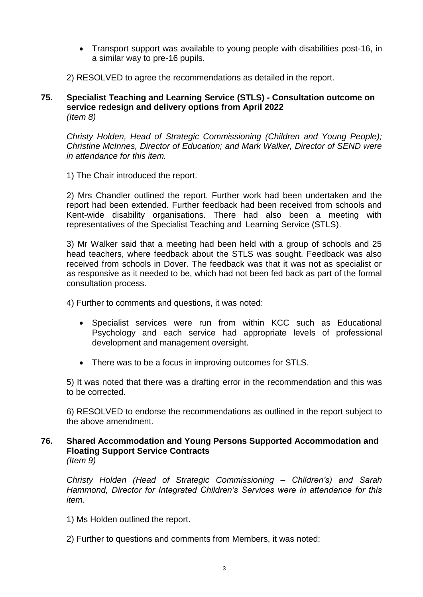- Transport support was available to young people with disabilities post-16, in a similar way to pre-16 pupils.
- 2) RESOLVED to agree the recommendations as detailed in the report.
- **75. Specialist Teaching and Learning Service (STLS) - Consultation outcome on service redesign and delivery options from April 2022** *(Item 8)*

*Christy Holden, Head of Strategic Commissioning (Children and Young People); Christine McInnes, Director of Education; and Mark Walker, Director of SEND were in attendance for this item.*

1) The Chair introduced the report.

2) Mrs Chandler outlined the report. Further work had been undertaken and the report had been extended. Further feedback had been received from schools and Kent-wide disability organisations. There had also been a meeting with representatives of the Specialist Teaching and Learning Service (STLS).

3) Mr Walker said that a meeting had been held with a group of schools and 25 head teachers, where feedback about the STLS was sought. Feedback was also received from schools in Dover. The feedback was that it was not as specialist or as responsive as it needed to be, which had not been fed back as part of the formal consultation process.

4) Further to comments and questions, it was noted:

- Specialist services were run from within KCC such as Educational Psychology and each service had appropriate levels of professional development and management oversight.
- There was to be a focus in improving outcomes for STLS.

5) It was noted that there was a drafting error in the recommendation and this was to be corrected.

6) RESOLVED to endorse the recommendations as outlined in the report subject to the above amendment.

**76. Shared Accommodation and Young Persons Supported Accommodation and Floating Support Service Contracts** *(Item 9)*

*Christy Holden (Head of Strategic Commissioning – Children's) and Sarah Hammond, Director for Integrated Children's Services were in attendance for this item.*

- 1) Ms Holden outlined the report.
- 2) Further to questions and comments from Members, it was noted: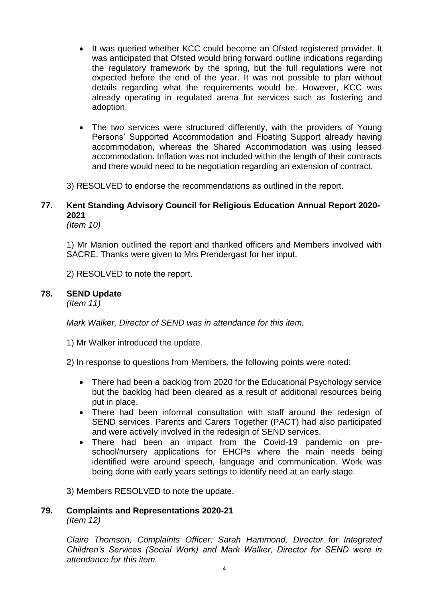- It was queried whether KCC could become an Ofsted registered provider. It was anticipated that Ofsted would bring forward outline indications regarding the regulatory framework by the spring, but the full regulations were not expected before the end of the year. It was not possible to plan without details regarding what the requirements would be. However, KCC was already operating in regulated arena for services such as fostering and adoption.
- The two services were structured differently, with the providers of Young Persons' Supported Accommodation and Floating Support already having accommodation, whereas the Shared Accommodation was using leased accommodation. Inflation was not included within the length of their contracts and there would need to be negotiation regarding an extension of contract.

3) RESOLVED to endorse the recommendations as outlined in the report.

## **77. Kent Standing Advisory Council for Religious Education Annual Report 2020- 2021**

*(Item 10)*

1) Mr Manion outlined the report and thanked officers and Members involved with SACRE. Thanks were given to Mrs Prendergast for her input.

2) RESOLVED to note the report.

#### **78. SEND Update**

*(Item 11)*

*Mark Walker, Director of SEND was in attendance for this item.*

1) Mr Walker introduced the update.

2) In response to questions from Members, the following points were noted:

- There had been a backlog from 2020 for the Educational Psychology service but the backlog had been cleared as a result of additional resources being put in place.
- There had been informal consultation with staff around the redesign of SEND services. Parents and Carers Together (PACT) had also participated and were actively involved in the redesign of SEND services.
- There had been an impact from the Covid-19 pandemic on preschool/nursery applications for EHCPs where the main needs being identified were around speech, language and communication. Work was being done with early years settings to identify need at an early stage.

3) Members RESOLVED to note the update.

#### **79. Complaints and Representations 2020-21** *(Item 12)*

*Claire Thomson, Complaints Officer; Sarah Hammond, Director for Integrated Children's Services (Social Work) and Mark Walker, Director for SEND were in attendance for this item.*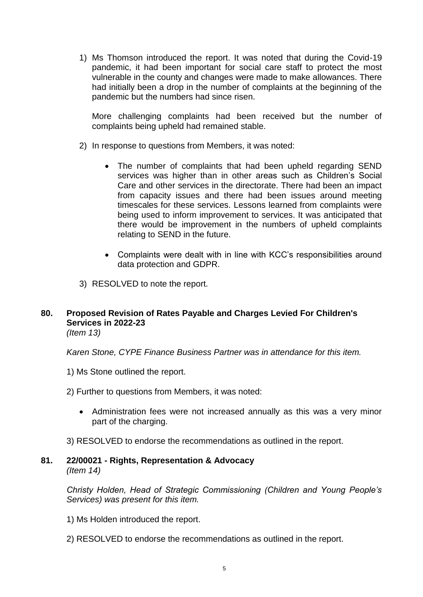1) Ms Thomson introduced the report. It was noted that during the Covid-19 pandemic, it had been important for social care staff to protect the most vulnerable in the county and changes were made to make allowances. There had initially been a drop in the number of complaints at the beginning of the pandemic but the numbers had since risen.

More challenging complaints had been received but the number of complaints being upheld had remained stable.

- 2) In response to questions from Members, it was noted:
	- The number of complaints that had been upheld regarding SEND services was higher than in other areas such as Children's Social Care and other services in the directorate. There had been an impact from capacity issues and there had been issues around meeting timescales for these services. Lessons learned from complaints were being used to inform improvement to services. It was anticipated that there would be improvement in the numbers of upheld complaints relating to SEND in the future.
	- Complaints were dealt with in line with KCC's responsibilities around data protection and GDPR.
- 3) RESOLVED to note the report.

## **80. Proposed Revision of Rates Payable and Charges Levied For Children's Services in 2022-23**

*(Item 13)*

*Karen Stone, CYPE Finance Business Partner was in attendance for this item.*

- 1) Ms Stone outlined the report.
- 2) Further to questions from Members, it was noted:
	- Administration fees were not increased annually as this was a very minor part of the charging.
- 3) RESOLVED to endorse the recommendations as outlined in the report.

### **81. 22/00021 - Rights, Representation & Advocacy** *(Item 14)*

*Christy Holden, Head of Strategic Commissioning (Children and Young People's Services) was present for this item.*

- 1) Ms Holden introduced the report.
- 2) RESOLVED to endorse the recommendations as outlined in the report.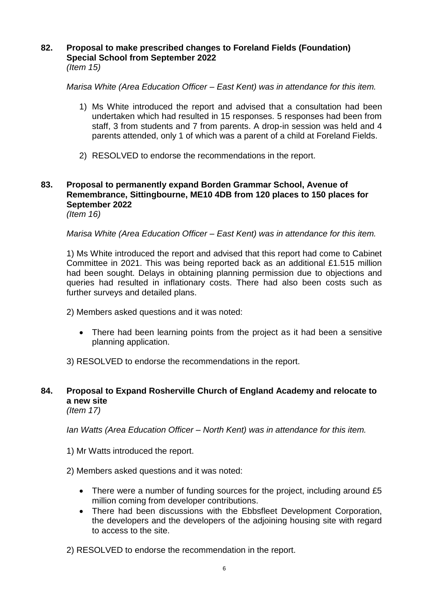### **82. Proposal to make prescribed changes to Foreland Fields (Foundation) Special School from September 2022** *(Item 15)*

*Marisa White (Area Education Officer – East Kent) was in attendance for this item.*

- 1) Ms White introduced the report and advised that a consultation had been undertaken which had resulted in 15 responses. 5 responses had been from staff, 3 from students and 7 from parents. A drop-in session was held and 4 parents attended, only 1 of which was a parent of a child at Foreland Fields.
- 2) RESOLVED to endorse the recommendations in the report.

## **83. Proposal to permanently expand Borden Grammar School, Avenue of Remembrance, Sittingbourne, ME10 4DB from 120 places to 150 places for September 2022**

*(Item 16)*

*Marisa White (Area Education Officer – East Kent) was in attendance for this item.*

1) Ms White introduced the report and advised that this report had come to Cabinet Committee in 2021. This was being reported back as an additional £1.515 million had been sought. Delays in obtaining planning permission due to objections and queries had resulted in inflationary costs. There had also been costs such as further surveys and detailed plans.

2) Members asked questions and it was noted:

 There had been learning points from the project as it had been a sensitive planning application.

3) RESOLVED to endorse the recommendations in the report.

## **84. Proposal to Expand Rosherville Church of England Academy and relocate to a new site**

*(Item 17)*

*Ian Watts (Area Education Officer – North Kent) was in attendance for this item.*

- 1) Mr Watts introduced the report.
- 2) Members asked questions and it was noted:
	- There were a number of funding sources for the project, including around £5 million coming from developer contributions.
	- There had been discussions with the Ebbsfleet Development Corporation, the developers and the developers of the adjoining housing site with regard to access to the site.
- 2) RESOLVED to endorse the recommendation in the report.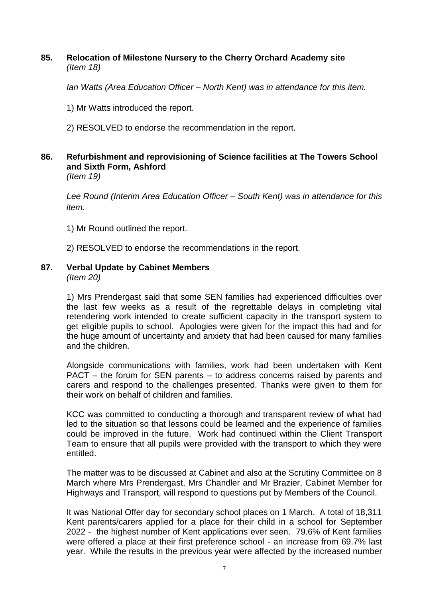### **85. Relocation of Milestone Nursery to the Cherry Orchard Academy site** *(Item 18)*

*Ian Watts (Area Education Officer – North Kent) was in attendance for this item.*

1) Mr Watts introduced the report.

2) RESOLVED to endorse the recommendation in the report.

## **86. Refurbishment and reprovisioning of Science facilities at The Towers School and Sixth Form, Ashford**

*(Item 19)*

*Lee Round (Interim Area Education Officer – South Kent) was in attendance for this item.*

1) Mr Round outlined the report.

2) RESOLVED to endorse the recommendations in the report.

## **87. Verbal Update by Cabinet Members**

*(Item 20)*

1) Mrs Prendergast said that some SEN families had experienced difficulties over the last few weeks as a result of the regrettable delays in completing vital retendering work intended to create sufficient capacity in the transport system to get eligible pupils to school. Apologies were given for the impact this had and for the huge amount of uncertainty and anxiety that had been caused for many families and the children.

Alongside communications with families, work had been undertaken with Kent PACT – the forum for SEN parents – to address concerns raised by parents and carers and respond to the challenges presented. Thanks were given to them for their work on behalf of children and families.

KCC was committed to conducting a thorough and transparent review of what had led to the situation so that lessons could be learned and the experience of families could be improved in the future. Work had continued within the Client Transport Team to ensure that all pupils were provided with the transport to which they were entitled.

The matter was to be discussed at Cabinet and also at the Scrutiny Committee on 8 March where Mrs Prendergast, Mrs Chandler and Mr Brazier, Cabinet Member for Highways and Transport, will respond to questions put by Members of the Council.

It was National Offer day for secondary school places on 1 March. A total of 18,311 Kent parents/carers applied for a place for their child in a school for September 2022 - the highest number of Kent applications ever seen. 79.6% of Kent families were offered a place at their first preference school - an increase from 69.7% last year. While the results in the previous year were affected by the increased number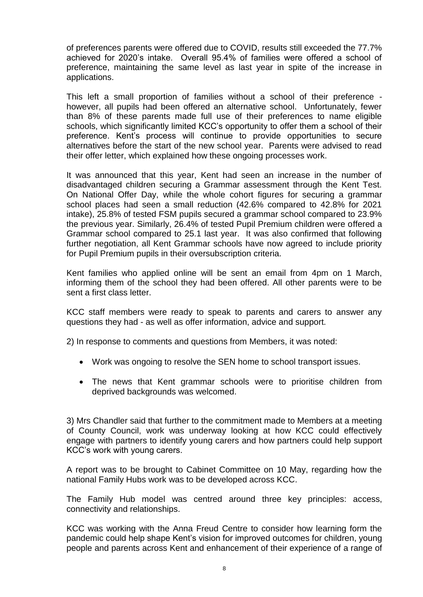of preferences parents were offered due to COVID, results still exceeded the 77.7% achieved for 2020's intake. Overall 95.4% of families were offered a school of preference, maintaining the same level as last year in spite of the increase in applications.

This left a small proportion of families without a school of their preference however, all pupils had been offered an alternative school. Unfortunately, fewer than 8% of these parents made full use of their preferences to name eligible schools, which significantly limited KCC's opportunity to offer them a school of their preference. Kent's process will continue to provide opportunities to secure alternatives before the start of the new school year. Parents were advised to read their offer letter, which explained how these ongoing processes work.

It was announced that this year, Kent had seen an increase in the number of disadvantaged children securing a Grammar assessment through the Kent Test. On National Offer Day, while the whole cohort figures for securing a grammar school places had seen a small reduction (42.6% compared to 42.8% for 2021 intake), 25.8% of tested FSM pupils secured a grammar school compared to 23.9% the previous year. Similarly, 26.4% of tested Pupil Premium children were offered a Grammar school compared to 25.1 last year. It was also confirmed that following further negotiation, all Kent Grammar schools have now agreed to include priority for Pupil Premium pupils in their oversubscription criteria.

Kent families who applied online will be sent an email from 4pm on 1 March, informing them of the school they had been offered. All other parents were to be sent a first class letter.

KCC staff members were ready to speak to parents and carers to answer any questions they had - as well as offer information, advice and support.

2) In response to comments and questions from Members, it was noted:

- Work was ongoing to resolve the SEN home to school transport issues.
- The news that Kent grammar schools were to prioritise children from deprived backgrounds was welcomed.

3) Mrs Chandler said that further to the commitment made to Members at a meeting of County Council, work was underway looking at how KCC could effectively engage with partners to identify young carers and how partners could help support KCC's work with young carers.

A report was to be brought to Cabinet Committee on 10 May, regarding how the national Family Hubs work was to be developed across KCC.

The Family Hub model was centred around three key principles: access, connectivity and relationships.

KCC was working with the Anna Freud Centre to consider how learning form the pandemic could help shape Kent's vision for improved outcomes for children, young people and parents across Kent and enhancement of their experience of a range of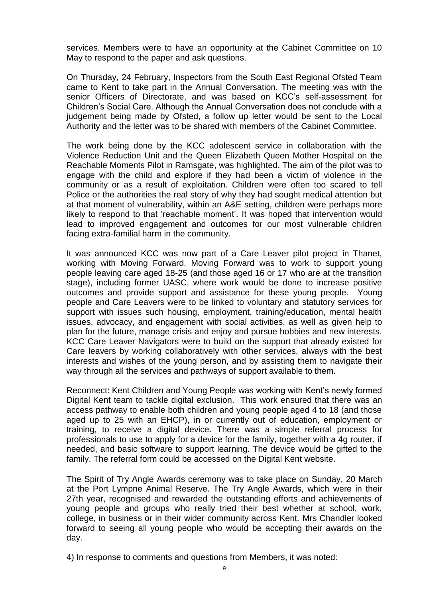services. Members were to have an opportunity at the Cabinet Committee on 10 May to respond to the paper and ask questions.

On Thursday, 24 February, Inspectors from the South East Regional Ofsted Team came to Kent to take part in the Annual Conversation. The meeting was with the senior Officers of Directorate, and was based on KCC's self-assessment for Children's Social Care. Although the Annual Conversation does not conclude with a judgement being made by Ofsted, a follow up letter would be sent to the Local Authority and the letter was to be shared with members of the Cabinet Committee.

The work being done by the KCC adolescent service in collaboration with the Violence Reduction Unit and the Queen Elizabeth Queen Mother Hospital on the Reachable Moments Pilot in Ramsgate, was highlighted. The aim of the pilot was to engage with the child and explore if they had been a victim of violence in the community or as a result of exploitation. Children were often too scared to tell Police or the authorities the real story of why they had sought medical attention but at that moment of vulnerability, within an A&E setting, children were perhaps more likely to respond to that 'reachable moment'. It was hoped that intervention would lead to improved engagement and outcomes for our most vulnerable children facing extra-familial harm in the community.

It was announced KCC was now part of a Care Leaver pilot project in Thanet, working with Moving Forward. Moving Forward was to work to support young people leaving care aged 18-25 (and those aged 16 or 17 who are at the transition stage), including former UASC, where work would be done to increase positive outcomes and provide support and assistance for these young people. Young people and Care Leavers were to be linked to voluntary and statutory services for support with issues such housing, employment, training/education, mental health issues, advocacy, and engagement with social activities, as well as given help to plan for the future, manage crisis and enjoy and pursue hobbies and new interests. KCC Care Leaver Navigators were to build on the support that already existed for Care leavers by working collaboratively with other services, always with the best interests and wishes of the young person, and by assisting them to navigate their way through all the services and pathways of support available to them.

Reconnect: Kent Children and Young People was working with Kent's newly formed Digital Kent team to tackle digital exclusion. This work ensured that there was an access pathway to enable both children and young people aged 4 to 18 (and those aged up to 25 with an EHCP), in or currently out of education, employment or training, to receive a digital device. There was a simple referral process for professionals to use to apply for a device for the family, together with a 4g router, if needed, and basic software to support learning. The device would be gifted to the family. The referral form could be accessed on the Digital Kent website.

The Spirit of Try Angle Awards ceremony was to take place on Sunday, 20 March at the Port Lympne Animal Reserve. The Try Angle Awards, which were in their 27th year, recognised and rewarded the outstanding efforts and achievements of young people and groups who really tried their best whether at school, work, college, in business or in their wider community across Kent. Mrs Chandler looked forward to seeing all young people who would be accepting their awards on the day.

4) In response to comments and questions from Members, it was noted: